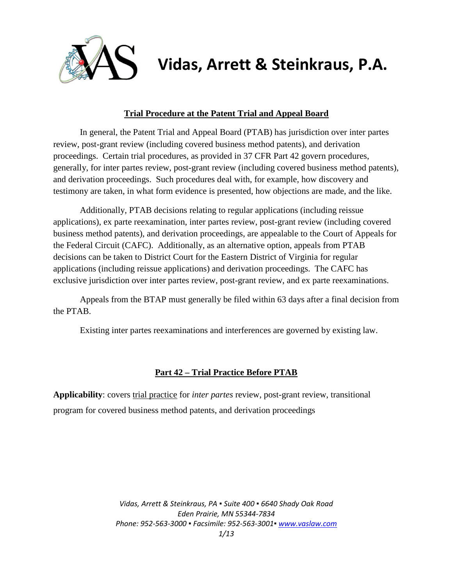

# **Vidas, Arrett & Steinkraus, P.A.**

# **Trial Procedure at the Patent Trial and Appeal Board**

In general, the Patent Trial and Appeal Board (PTAB) has jurisdiction over inter partes review, post-grant review (including covered business method patents), and derivation proceedings. Certain trial procedures, as provided in 37 CFR Part 42 govern procedures, generally, for inter partes review, post-grant review (including covered business method patents), and derivation proceedings. Such procedures deal with, for example, how discovery and testimony are taken, in what form evidence is presented, how objections are made, and the like.

Additionally, PTAB decisions relating to regular applications (including reissue applications), ex parte reexamination, inter partes review, post-grant review (including covered business method patents), and derivation proceedings, are appealable to the Court of Appeals for the Federal Circuit (CAFC). Additionally, as an alternative option, appeals from PTAB decisions can be taken to District Court for the Eastern District of Virginia for regular applications (including reissue applications) and derivation proceedings. The CAFC has exclusive jurisdiction over inter partes review, post-grant review, and ex parte reexaminations.

Appeals from the BTAP must generally be filed within 63 days after a final decision from the PTAB.

Existing inter partes reexaminations and interferences are governed by existing law.

# **Part 42 – Trial Practice Before PTAB**

**Applicability**: covers trial practice for *inter partes* review, post-grant review, transitional program for covered business method patents, and derivation proceedings

> *Vidas, Arrett & Steinkraus, PA ▪ Suite 400 ▪ 6640 Shady Oak Road Eden Prairie, MN 55344-7834 Phone: 952-563-3000 ▪ Facsimile: 952-563-3001[▪ www.vaslaw.com](http://www.vaslaw.com/) 1/13*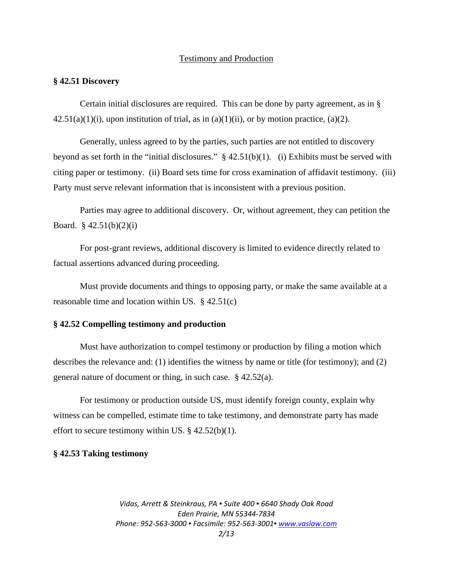#### Testimony and Production

#### **§ 42.51 Discovery**

Certain initial disclosures are required. This can be done by party agreement, as in §  $42.51(a)(1)(i)$ , upon institution of trial, as in  $(a)(1)(ii)$ , or by motion practice,  $(a)(2)$ .

Generally, unless agreed to by the parties, such parties are not entitled to discovery beyond as set forth in the "initial disclosures." § 42.51(b)(1). (i) Exhibits must be served with citing paper or testimony. (ii) Board sets time for cross examination of affidavit testimony. (iii) Party must serve relevant information that is inconsistent with a previous position.

Parties may agree to additional discovery. Or, without agreement, they can petition the Board.  $§$  42.51(b)(2)(i)

For post-grant reviews, additional discovery is limited to evidence directly related to factual assertions advanced during proceeding.

Must provide documents and things to opposing party, or make the same available at a reasonable time and location within US. § 42.51(c)

# **§ 42.52 Compelling testimony and production**

Must have authorization to compel testimony or production by filing a motion which describes the relevance and: (1) identifies the witness by name or title (for testimony); and (2) general nature of document or thing, in such case. § 42.52(a).

For testimony or production outside US, must identify foreign county, explain why witness can be compelled, estimate time to take testimony, and demonstrate party has made effort to secure testimony within US.  $\S$  42.52(b)(1).

#### **§ 42.53 Taking testimony**

*Vidas, Arrett & Steinkraus, PA ▪ Suite 400 ▪ 6640 Shady Oak Road Eden Prairie, MN 55344-7834 Phone: 952-563-3000 ▪ Facsimile: 952-563-3001[▪ www.vaslaw.com](http://www.vaslaw.com/) 2/13*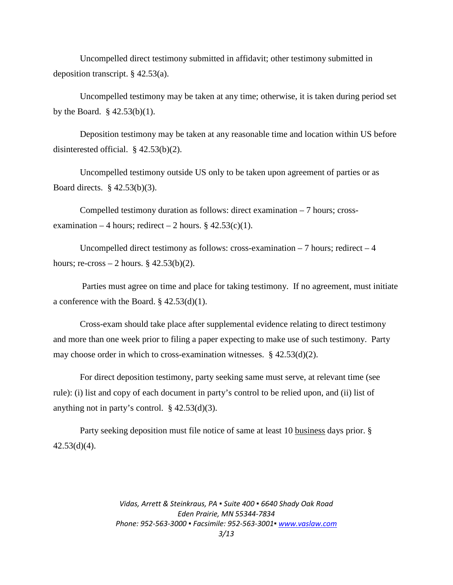Uncompelled direct testimony submitted in affidavit; other testimony submitted in deposition transcript. § 42.53(a).

Uncompelled testimony may be taken at any time; otherwise, it is taken during period set by the Board.  $\S$  42.53(b)(1).

Deposition testimony may be taken at any reasonable time and location within US before disinterested official. § 42.53(b)(2).

Uncompelled testimony outside US only to be taken upon agreement of parties or as Board directs. § 42.53(b)(3).

Compelled testimony duration as follows: direct examination  $-7$  hours; crossexamination – 4 hours; redirect – 2 hours. §  $42.53(c)(1)$ .

Uncompelled direct testimony as follows: cross-examination  $-7$  hours; redirect  $-4$ hours; re-cross  $-2$  hours. § 42.53(b)(2).

Parties must agree on time and place for taking testimony. If no agreement, must initiate a conference with the Board. § 42.53(d)(1).

Cross-exam should take place after supplemental evidence relating to direct testimony and more than one week prior to filing a paper expecting to make use of such testimony. Party may choose order in which to cross-examination witnesses. § 42.53(d)(2).

For direct deposition testimony, party seeking same must serve, at relevant time (see rule): (i) list and copy of each document in party's control to be relied upon, and (ii) list of anything not in party's control.  $\S$  42.53(d)(3).

Party seeking deposition must file notice of same at least 10 business days prior. §  $42.53(d)(4)$ .

> *Vidas, Arrett & Steinkraus, PA ▪ Suite 400 ▪ 6640 Shady Oak Road Eden Prairie, MN 55344-7834 Phone: 952-563-3000 ▪ Facsimile: 952-563-3001[▪ www.vaslaw.com](http://www.vaslaw.com/) 3/13*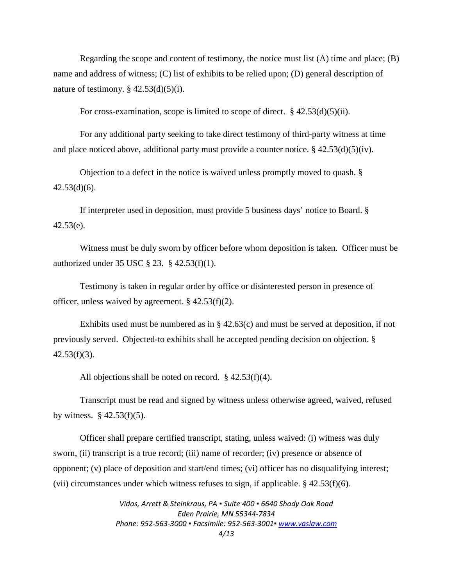Regarding the scope and content of testimony, the notice must list  $(A)$  time and place;  $(B)$ name and address of witness; (C) list of exhibits to be relied upon; (D) general description of nature of testimony.  $\S$  42.53(d)(5)(i).

For cross-examination, scope is limited to scope of direct.  $§$  42.53(d)(5)(ii).

For any additional party seeking to take direct testimony of third-party witness at time and place noticed above, additional party must provide a counter notice.  $\S$  42.53(d)(5)(iv).

Objection to a defect in the notice is waived unless promptly moved to quash. §  $42.53(d)(6)$ .

If interpreter used in deposition, must provide 5 business days' notice to Board. §  $42.53(e)$ .

Witness must be duly sworn by officer before whom deposition is taken. Officer must be authorized under 35 USC § 23. § 42.53(f)(1).

Testimony is taken in regular order by office or disinterested person in presence of officer, unless waived by agreement. § 42.53(f)(2).

Exhibits used must be numbered as in  $\S$  42.63(c) and must be served at deposition, if not previously served. Objected-to exhibits shall be accepted pending decision on objection. §  $42.53(f)(3)$ .

All objections shall be noted on record.  $§$  42.53(f)(4).

Transcript must be read and signed by witness unless otherwise agreed, waived, refused by witness.  $§$  42.53(f)(5).

Officer shall prepare certified transcript, stating, unless waived: (i) witness was duly sworn, (ii) transcript is a true record; (iii) name of recorder; (iv) presence or absence of opponent; (v) place of deposition and start/end times; (vi) officer has no disqualifying interest; (vii) circumstances under which witness refuses to sign, if applicable.  $\S$  42.53(f)(6).

> *Vidas, Arrett & Steinkraus, PA ▪ Suite 400 ▪ 6640 Shady Oak Road Eden Prairie, MN 55344-7834 Phone: 952-563-3000 ▪ Facsimile: 952-563-3001[▪ www.vaslaw.com](http://www.vaslaw.com/) 4/13*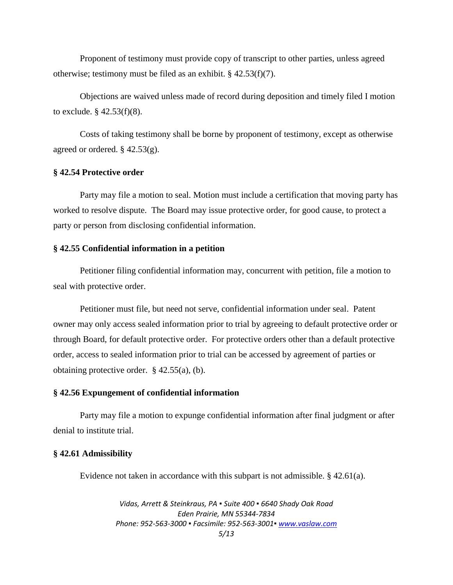Proponent of testimony must provide copy of transcript to other parties, unless agreed otherwise; testimony must be filed as an exhibit. § 42.53(f)(7).

Objections are waived unless made of record during deposition and timely filed I motion to exclude.  $$ 42.53(f)(8)$ .

Costs of taking testimony shall be borne by proponent of testimony, except as otherwise agreed or ordered. § 42.53(g).

#### **§ 42.54 Protective order**

Party may file a motion to seal. Motion must include a certification that moving party has worked to resolve dispute. The Board may issue protective order, for good cause, to protect a party or person from disclosing confidential information.

#### **§ 42.55 Confidential information in a petition**

Petitioner filing confidential information may, concurrent with petition, file a motion to seal with protective order.

Petitioner must file, but need not serve, confidential information under seal. Patent owner may only access sealed information prior to trial by agreeing to default protective order or through Board, for default protective order. For protective orders other than a default protective order, access to sealed information prior to trial can be accessed by agreement of parties or obtaining protective order. § 42.55(a), (b).

#### **§ 42.56 Expungement of confidential information**

Party may file a motion to expunge confidential information after final judgment or after denial to institute trial.

# **§ 42.61 Admissibility**

Evidence not taken in accordance with this subpart is not admissible. § 42.61(a).

*Vidas, Arrett & Steinkraus, PA ▪ Suite 400 ▪ 6640 Shady Oak Road Eden Prairie, MN 55344-7834 Phone: 952-563-3000 ▪ Facsimile: 952-563-3001[▪ www.vaslaw.com](http://www.vaslaw.com/) 5/13*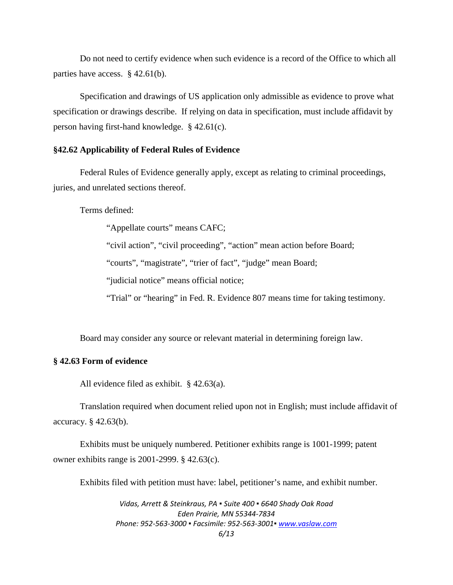Do not need to certify evidence when such evidence is a record of the Office to which all parties have access. § 42.61(b).

Specification and drawings of US application only admissible as evidence to prove what specification or drawings describe. If relying on data in specification, must include affidavit by person having first-hand knowledge. § 42.61(c).

## **§42.62 Applicability of Federal Rules of Evidence**

Federal Rules of Evidence generally apply, except as relating to criminal proceedings, juries, and unrelated sections thereof.

Terms defined:

"Appellate courts" means CAFC;

"civil action", "civil proceeding", "action" mean action before Board;

"courts", "magistrate", "trier of fact", "judge" mean Board;

"judicial notice" means official notice;

"Trial" or "hearing" in Fed. R. Evidence 807 means time for taking testimony.

Board may consider any source or relevant material in determining foreign law.

# **§ 42.63 Form of evidence**

All evidence filed as exhibit. § 42.63(a).

Translation required when document relied upon not in English; must include affidavit of accuracy. § 42.63(b).

Exhibits must be uniquely numbered. Petitioner exhibits range is 1001-1999; patent owner exhibits range is 2001-2999. § 42.63(c).

Exhibits filed with petition must have: label, petitioner's name, and exhibit number.

*Vidas, Arrett & Steinkraus, PA ▪ Suite 400 ▪ 6640 Shady Oak Road Eden Prairie, MN 55344-7834 Phone: 952-563-3000 ▪ Facsimile: 952-563-3001[▪ www.vaslaw.com](http://www.vaslaw.com/) 6/13*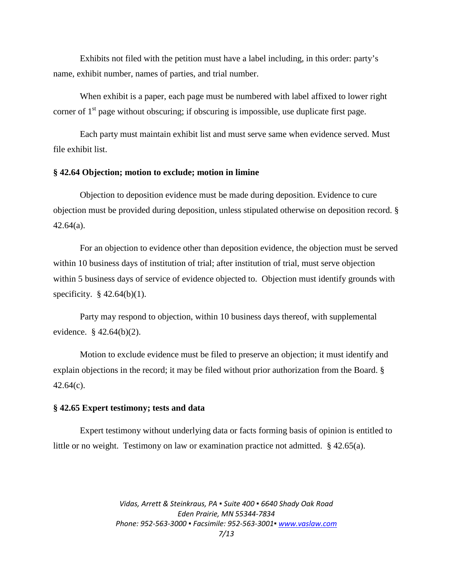Exhibits not filed with the petition must have a label including, in this order: party's name, exhibit number, names of parties, and trial number.

When exhibit is a paper, each page must be numbered with label affixed to lower right corner of 1<sup>st</sup> page without obscuring; if obscuring is impossible, use duplicate first page.

Each party must maintain exhibit list and must serve same when evidence served. Must file exhibit list.

#### **§ 42.64 Objection; motion to exclude; motion in limine**

Objection to deposition evidence must be made during deposition. Evidence to cure objection must be provided during deposition, unless stipulated otherwise on deposition record. §  $42.64(a)$ .

For an objection to evidence other than deposition evidence, the objection must be served within 10 business days of institution of trial; after institution of trial, must serve objection within 5 business days of service of evidence objected to. Objection must identify grounds with specificity. § 42.64(b)(1).

Party may respond to objection, within 10 business days thereof, with supplemental evidence. § 42.64(b)(2).

Motion to exclude evidence must be filed to preserve an objection; it must identify and explain objections in the record; it may be filed without prior authorization from the Board. §  $42.64(c)$ .

#### **§ 42.65 Expert testimony; tests and data**

Expert testimony without underlying data or facts forming basis of opinion is entitled to little or no weight. Testimony on law or examination practice not admitted. § 42.65(a).

> *Vidas, Arrett & Steinkraus, PA ▪ Suite 400 ▪ 6640 Shady Oak Road Eden Prairie, MN 55344-7834 Phone: 952-563-3000 ▪ Facsimile: 952-563-3001[▪ www.vaslaw.com](http://www.vaslaw.com/)*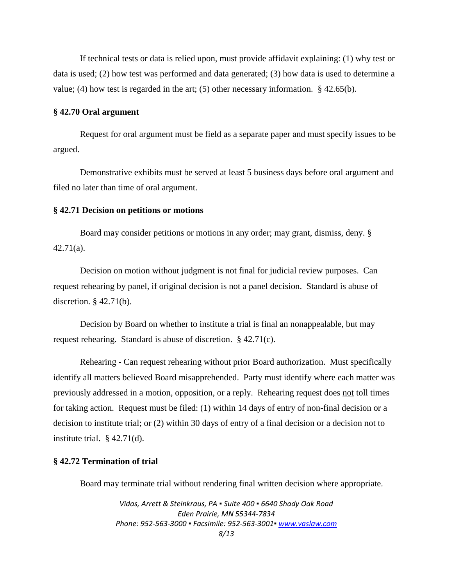If technical tests or data is relied upon, must provide affidavit explaining: (1) why test or data is used; (2) how test was performed and data generated; (3) how data is used to determine a value; (4) how test is regarded in the art; (5) other necessary information. § 42.65(b).

#### **§ 42.70 Oral argument**

Request for oral argument must be field as a separate paper and must specify issues to be argued.

Demonstrative exhibits must be served at least 5 business days before oral argument and filed no later than time of oral argument.

#### **§ 42.71 Decision on petitions or motions**

Board may consider petitions or motions in any order; may grant, dismiss, deny. § 42.71(a).

Decision on motion without judgment is not final for judicial review purposes. Can request rehearing by panel, if original decision is not a panel decision. Standard is abuse of discretion. § 42.71(b).

Decision by Board on whether to institute a trial is final an nonappealable, but may request rehearing. Standard is abuse of discretion. § 42.71(c).

Rehearing - Can request rehearing without prior Board authorization. Must specifically identify all matters believed Board misapprehended. Party must identify where each matter was previously addressed in a motion, opposition, or a reply. Rehearing request does not toll times for taking action. Request must be filed: (1) within 14 days of entry of non-final decision or a decision to institute trial; or (2) within 30 days of entry of a final decision or a decision not to institute trial.  $\S$  42.71(d).

# **§ 42.72 Termination of trial**

Board may terminate trial without rendering final written decision where appropriate.

*Vidas, Arrett & Steinkraus, PA ▪ Suite 400 ▪ 6640 Shady Oak Road Eden Prairie, MN 55344-7834 Phone: 952-563-3000 ▪ Facsimile: 952-563-3001[▪ www.vaslaw.com](http://www.vaslaw.com/) 8/13*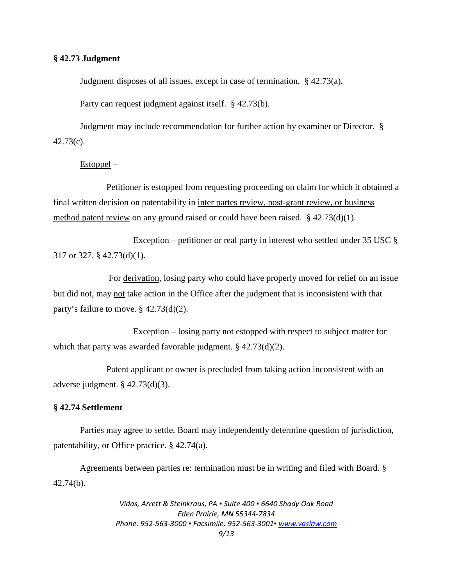## **§ 42.73 Judgment**

Judgment disposes of all issues, except in case of termination. § 42.73(a).

Party can request judgment against itself. § 42.73(b).

Judgment may include recommendation for further action by examiner or Director. § 42.73(c).

#### Estoppel –

Petitioner is estopped from requesting proceeding on claim for which it obtained a final written decision on patentability in inter partes review, post-grant review, or business method patent review on any ground raised or could have been raised. § 42.73(d)(1).

Exception – petitioner or real party in interest who settled under  $35 \text{ USC} \text{ }$ § 317 or 327. § 42.73(d)(1).

For derivation, losing party who could have properly moved for relief on an issue but did not, may not take action in the Office after the judgment that is inconsistent with that party's failure to move. § 42.73(d)(2).

Exception – losing party not estopped with respect to subject matter for which that party was awarded favorable judgment. § 42.73(d)(2).

Patent applicant or owner is precluded from taking action inconsistent with an adverse judgment. § 42.73(d)(3).

# **§ 42.74 Settlement**

Parties may agree to settle. Board may independently determine question of jurisdiction, patentability, or Office practice. § 42.74(a).

Agreements between parties re: termination must be in writing and filed with Board. § 42.74(b).

> *Vidas, Arrett & Steinkraus, PA ▪ Suite 400 ▪ 6640 Shady Oak Road Eden Prairie, MN 55344-7834 Phone: 952-563-3000 ▪ Facsimile: 952-563-3001[▪ www.vaslaw.com](http://www.vaslaw.com/) 9/13*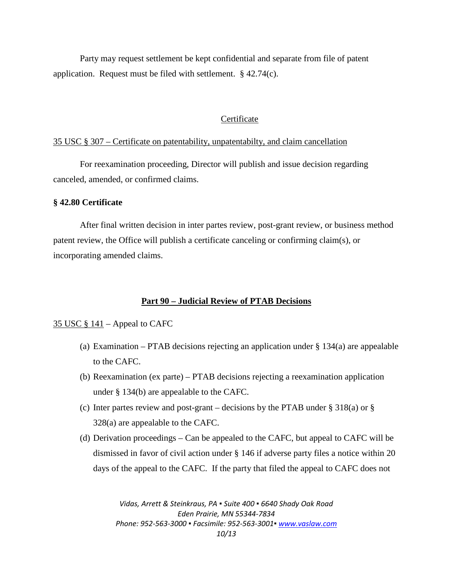Party may request settlement be kept confidential and separate from file of patent application. Request must be filed with settlement. § 42.74(c).

# **Certificate**

#### 35 USC § 307 – Certificate on patentability, unpatentabilty, and claim cancellation

For reexamination proceeding, Director will publish and issue decision regarding canceled, amended, or confirmed claims.

#### **§ 42.80 Certificate**

After final written decision in inter partes review, post-grant review, or business method patent review, the Office will publish a certificate canceling or confirming claim(s), or incorporating amended claims.

#### **Part 90 – Judicial Review of PTAB Decisions**

#### 35 USC § 141 – Appeal to CAFC

- (a) Examination PTAB decisions rejecting an application under  $\S$  134(a) are appealable to the CAFC.
- (b) Reexamination (ex parte) PTAB decisions rejecting a reexamination application under § 134(b) are appealable to the CAFC.
- (c) Inter partes review and post-grant decisions by the PTAB under  $\S$  318(a) or  $\S$ 328(a) are appealable to the CAFC.
- (d) Derivation proceedings Can be appealed to the CAFC, but appeal to CAFC will be dismissed in favor of civil action under § 146 if adverse party files a notice within 20 days of the appeal to the CAFC. If the party that filed the appeal to CAFC does not

*Vidas, Arrett & Steinkraus, PA ▪ Suite 400 ▪ 6640 Shady Oak Road Eden Prairie, MN 55344-7834 Phone: 952-563-3000 ▪ Facsimile: 952-563-3001[▪ www.vaslaw.com](http://www.vaslaw.com/) 10/13*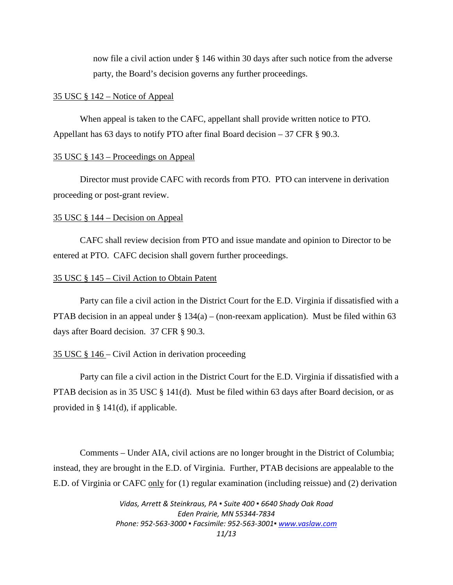now file a civil action under § 146 within 30 days after such notice from the adverse party, the Board's decision governs any further proceedings.

#### 35 USC § 142 – Notice of Appeal

When appeal is taken to the CAFC, appellant shall provide written notice to PTO. Appellant has 63 days to notify PTO after final Board decision – 37 CFR  $\S$  90.3.

#### 35 USC § 143 – Proceedings on Appeal

Director must provide CAFC with records from PTO. PTO can intervene in derivation proceeding or post-grant review.

#### 35 USC § 144 – Decision on Appeal

CAFC shall review decision from PTO and issue mandate and opinion to Director to be entered at PTO. CAFC decision shall govern further proceedings.

#### 35 USC § 145 – Civil Action to Obtain Patent

Party can file a civil action in the District Court for the E.D. Virginia if dissatisfied with a PTAB decision in an appeal under  $\S 134(a) - (non-reexam$  application). Must be filed within 63 days after Board decision. 37 CFR § 90.3.

# 35 USC § 146 – Civil Action in derivation proceeding

Party can file a civil action in the District Court for the E.D. Virginia if dissatisfied with a PTAB decision as in 35 USC § 141(d). Must be filed within 63 days after Board decision, or as provided in § 141(d), if applicable.

Comments – Under AIA, civil actions are no longer brought in the District of Columbia; instead, they are brought in the E.D. of Virginia. Further, PTAB decisions are appealable to the E.D. of Virginia or CAFC only for (1) regular examination (including reissue) and (2) derivation

> *Vidas, Arrett & Steinkraus, PA ▪ Suite 400 ▪ 6640 Shady Oak Road Eden Prairie, MN 55344-7834 Phone: 952-563-3000 ▪ Facsimile: 952-563-3001[▪ www.vaslaw.com](http://www.vaslaw.com/) 11/13*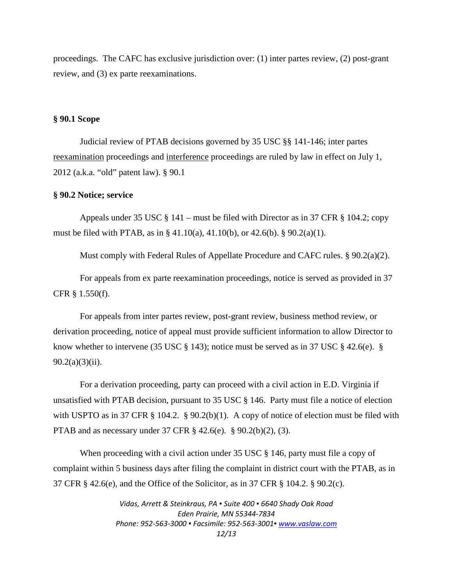proceedings. The CAFC has exclusive jurisdiction over: (1) inter partes review, (2) post-grant review, and (3) ex parte reexaminations.

# **§ 90.1 Scope**

Judicial review of PTAB decisions governed by 35 USC §§ 141-146; inter partes reexamination proceedings and interference proceedings are ruled by law in effect on July 1, 2012 (a.k.a. "old" patent law). § 90.1

#### **§ 90.2 Notice; service**

Appeals under 35 USC § 141 – must be filed with Director as in 37 CFR § 104.2; copy must be filed with PTAB, as in § 41.10(a), 41.10(b), or 42.6(b). § 90.2(a)(1).

Must comply with Federal Rules of Appellate Procedure and CAFC rules. § 90.2(a)(2).

For appeals from ex parte reexamination proceedings, notice is served as provided in 37 CFR § 1.550(f).

For appeals from inter partes review, post-grant review, business method review, or derivation proceeding, notice of appeal must provide sufficient information to allow Director to know whether to intervene (35 USC  $\S$  143); notice must be served as in 37 USC  $\S$  42.6(e).  $\S$  $90.2(a)(3)(ii)$ .

For a derivation proceeding, party can proceed with a civil action in E.D. Virginia if unsatisfied with PTAB decision, pursuant to 35 USC § 146. Party must file a notice of election with USPTO as in 37 CFR § 104.2. § 90.2(b)(1). A copy of notice of election must be filed with PTAB and as necessary under 37 CFR § 42.6(e). § 90.2(b)(2), (3).

When proceeding with a civil action under 35 USC § 146, party must file a copy of complaint within 5 business days after filing the complaint in district court with the PTAB, as in 37 CFR § 42.6(e), and the Office of the Solicitor, as in 37 CFR § 104.2. § 90.2(c).

> *Vidas, Arrett & Steinkraus, PA ▪ Suite 400 ▪ 6640 Shady Oak Road Eden Prairie, MN 55344-7834 Phone: 952-563-3000 ▪ Facsimile: 952-563-3001[▪ www.vaslaw.com](http://www.vaslaw.com/) 12/13*